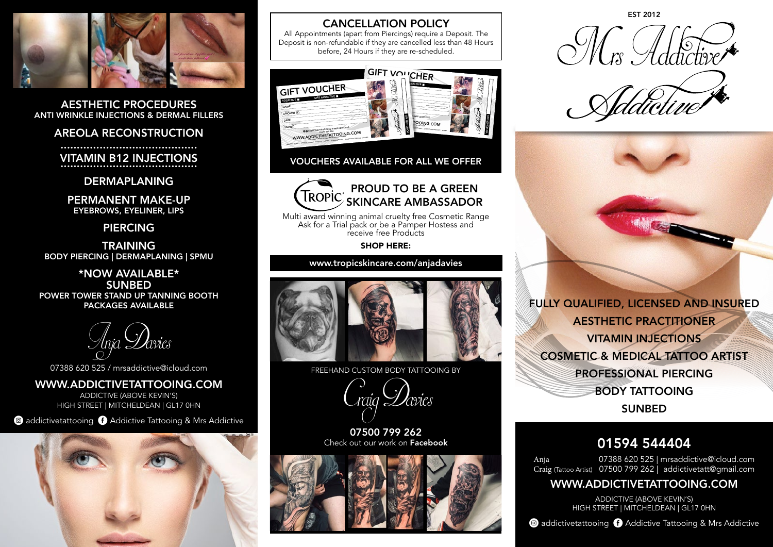

AESTHETIC PROCEDURES ANTI WRINKLE INJECTIONS & DERMAL FILLERS

## AREOLA RECONSTRUCTION

.......................................... VITAMIN B12 INJECTIONS ..........................................

DERMAPLANING

PERMANENT MAKE-UP EYEBROWS, EYELINER, LIPS

PIERCING

**TRAINING** BODY PIERCING | DERMAPLANING | SPMU

\*NOW AVAILABLE\* SUNBED POWER TOWER STAND UP TANNING BOOTH PACKAGES AVAILABLE

Anja Davies

07388 620 525 / mrsaddictive@icloud.com

## WWW.ADDICTIVETATTOOING.COM

ADDICTIVE (ABOVE KEVIN'S) HIGH STREET | MITCHELDEAN | GL17 0HN

Q addictivetattooing E Addictive Tattooing & Mrs Addictive



### CANCELLATION POLICY

All Appointments (apart from Piercings) require a Deposit. The Deposit is non-refundable if they are cancelled less than 48 Hours before, 24 Hours if they are re-scheduled.



### VOUCHERS AVAILABLE FOR ALL WE OFFER



Multi award winning animal cruelty free Cosmetic Range Ask for a Trial pack or be a Pamper Hostess and receive free Products

SHOP HERE:

www.tropicskincare.com/anjadavies



FREEHAND CUSTOM BODY TATTOOING BY

Craig Davies

07500 799 262 Check out our work on Facebook



EST 2012

ddictive





# 01594 544404

Anja 07388 620 525 | mrsaddictive@icloud.com Craig (Tattoo Artist) 07500 799 262 | addictivetatt@gmail.com

## WWW.ADDICTIVETATTOOING.COM

ADDICTIVE (ABOVE KEVIN'S) HIGH STREET | MITCHELDEAN | GL17 0HN

Q addictivetattooing E Addictive Tattooing & Mrs Addictive